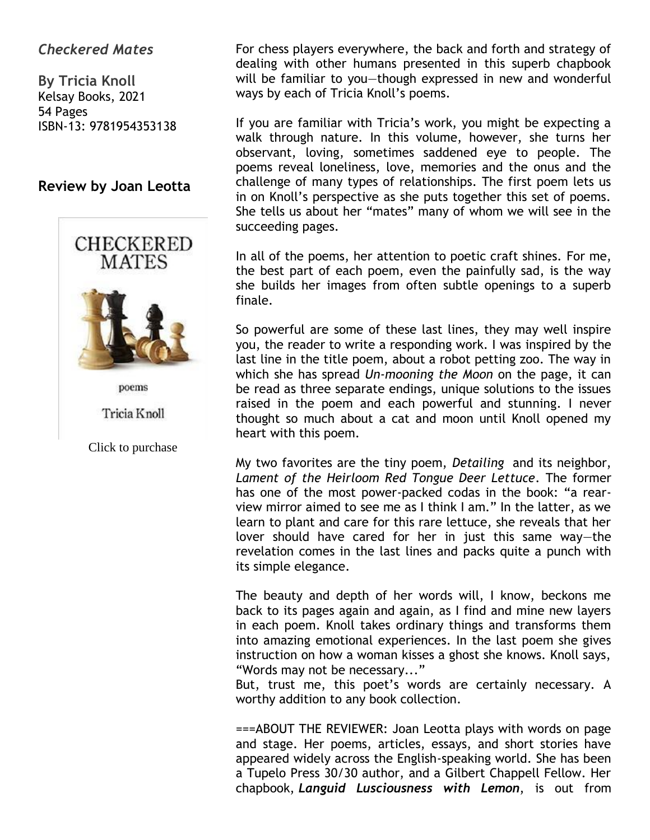# *Checkered Mates*

**By Tricia Knoll** Kelsay Books, 2021 54 Pages ISBN-13: 9781954353138

## **Review by Joan Leotta**



Tricia Knoll

Click to purchase

For chess players everywhere, the back and forth and strategy of dealing with other humans presented in this superb chapbook will be familiar to you—though expressed in new and wonderful ways by each of Tricia Knoll's poems.

If you are familiar with Tricia's work, you might be expecting a walk through nature. In this volume, however, she turns her observant, loving, sometimes saddened eye to people. The poems reveal loneliness, love, memories and the onus and the challenge of many types of relationships. The first poem lets us in on Knoll's perspective as she puts together this set of poems. She tells us about her "mates" many of whom we will see in the succeeding pages.

In all of the poems, her attention to poetic craft shines. For me, the best part of each poem, even the painfully sad, is the way she builds her images from often subtle openings to a superb finale.

So powerful are some of these last lines, they may well inspire you, the reader to write a responding work. I was inspired by the last line in the title poem, about a robot petting zoo. The way in which she has spread *Un-mooning the Moon* on the page, it can be read as three separate endings, unique solutions to the issues raised in the poem and each powerful and stunning. I never thought so much about a cat and moon until Knoll opened my heart with this poem.

My two favorites are the tiny poem, *Detailing* and its neighbor, *Lament of the Heirloom Red Tongue Deer Lettuce*. The former has one of the most power-packed codas in the book: "a rearview mirror aimed to see me as I think I am." In the latter, as we learn to plant and care for this rare lettuce, she reveals that her lover should have cared for her in just this same way—the revelation comes in the last lines and packs quite a punch with its simple elegance.

The beauty and depth of her words will, I know, beckons me back to its pages again and again, as I find and mine new layers in each poem. Knoll takes ordinary things and transforms them into amazing emotional experiences. In the last poem she gives instruction on how a woman kisses a ghost she knows. Knoll says, "Words may not be necessary..."

But, trust me, this poet's words are certainly necessary. A worthy addition to any book collection.

===ABOUT THE REVIEWER: Joan Leotta plays with words on page and stage. Her poems, articles, essays, and short stories have appeared widely across the English-speaking world. She has been a Tupelo Press 30/30 author, and a Gilbert Chappell Fellow. Her chapbook, *Languid Lusciousness with Lemon*, is out from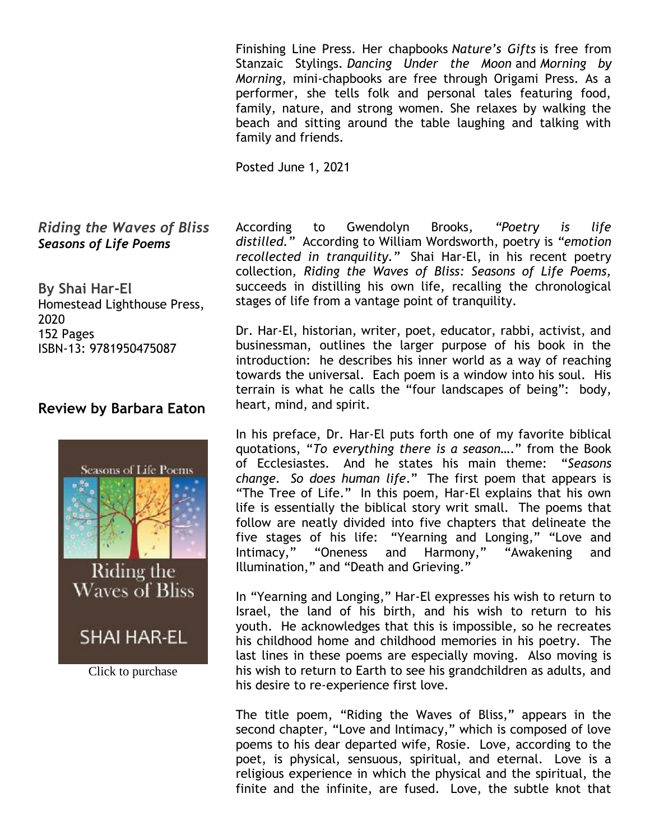Finishing Line Press. Her chapbooks *Nature's Gifts* is free from Stanzaic Stylings. *Dancing Under the Moon* and *Morning by Morning*, mini-chapbooks are free through Origami Press. As a performer, she tells folk and personal tales featuring food, family, nature, and strong women. She relaxes by walking the beach and sitting around the table laughing and talking with family and friends.

Posted June 1, 2021

#### *Riding the Waves of Bliss Seasons of Life Poems*

**By Shai Har-El** Homestead Lighthouse Press, 2020 152 Pages ISBN-13: 9781950475087

## **Review by Barbara Eaton**



Click to purchase

According to Gwendolyn Brooks*, "Poetry is life distilled."* According to William Wordsworth, poetry is *"emotion recollected in tranquility."* Shai Har-El, in his recent poetry collection*, Riding the Waves of Bliss: Seasons of Life Poems,*  succeeds in distilling his own life, recalling the chronological stages of life from a vantage point of tranquility.

Dr. Har-El, historian, writer, poet, educator, rabbi, activist, and businessman, outlines the larger purpose of his book in the introduction: he describes his inner world as a way of reaching towards the universal. Each poem is a window into his soul. His terrain is what he calls the "four landscapes of being": body, heart, mind, and spirit.

In his preface, Dr. Har-El puts forth one of my favorite biblical quotations, "*To everything there is a season…*." from the Book of Ecclesiastes. And he states his main theme: "*Seasons change. So does human life*." The first poem that appears is "The Tree of Life." In this poem, Har-El explains that his own life is essentially the biblical story writ small. The poems that follow are neatly divided into five chapters that delineate the five stages of his life: "Yearning and Longing," "Love and Intimacy," "Oneness and Harmony," "Awakening and Illumination," and "Death and Grieving."

In "Yearning and Longing," Har-El expresses his wish to return to Israel, the land of his birth, and his wish to return to his youth. He acknowledges that this is impossible, so he recreates his childhood home and childhood memories in his poetry. The last lines in these poems are especially moving. Also moving is his wish to return to Earth to see his grandchildren as adults, and his desire to re-experience first love.

The title poem, "Riding the Waves of Bliss," appears in the second chapter, "Love and Intimacy," which is composed of love poems to his dear departed wife, Rosie. Love, according to the poet, is physical, sensuous, spiritual, and eternal. Love is a religious experience in which the physical and the spiritual, the finite and the infinite, are fused. Love, the subtle knot that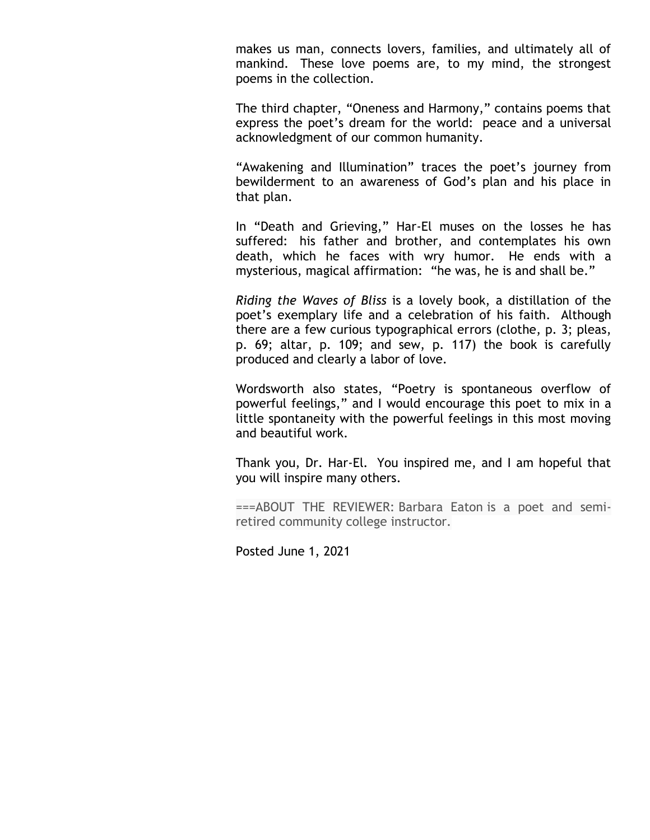makes us man, connects lovers, families, and ultimately all of mankind. These love poems are, to my mind, the strongest poems in the collection.

The third chapter, "Oneness and Harmony," contains poems that express the poet's dream for the world: peace and a universal acknowledgment of our common humanity.

"Awakening and Illumination" traces the poet's journey from bewilderment to an awareness of God's plan and his place in that plan.

In "Death and Grieving," Har-El muses on the losses he has suffered: his father and brother, and contemplates his own death, which he faces with wry humor. He ends with a mysterious, magical affirmation: "he was, he is and shall be."

*Riding the Waves of Bliss* is a lovely book, a distillation of the poet's exemplary life and a celebration of his faith. Although there are a few curious typographical errors (clothe, p. 3; pleas, p. 69; altar, p. 109; and sew, p. 117) the book is carefully produced and clearly a labor of love.

Wordsworth also states, "Poetry is spontaneous overflow of powerful feelings," and I would encourage this poet to mix in a little spontaneity with the powerful feelings in this most moving and beautiful work.

Thank you, Dr. Har-El. You inspired me, and I am hopeful that you will inspire many others.

===ABOUT THE REVIEWER: Barbara Eaton is a poet and semiretired community college instructor.

Posted June 1, 2021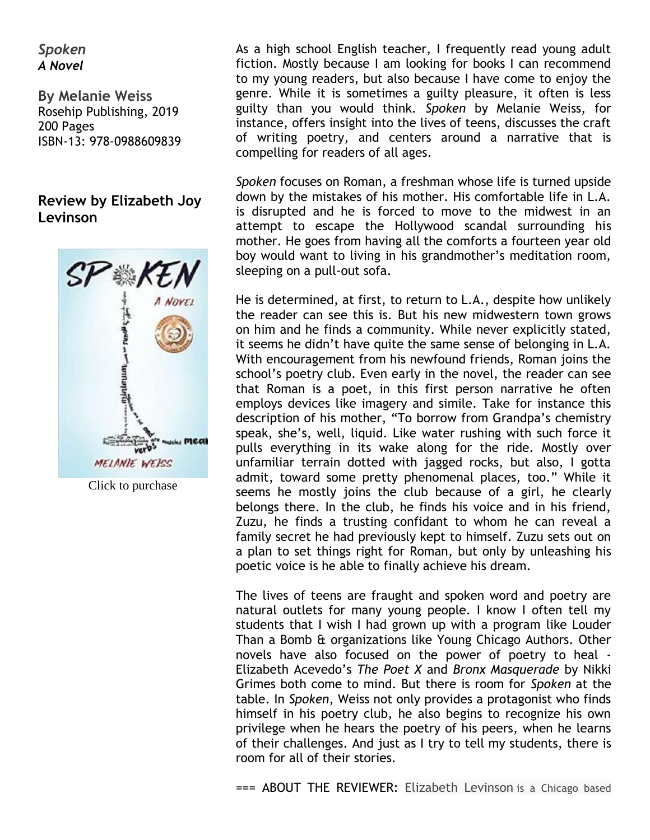### *Spoken A Novel*

**By Melanie Weiss** Rosehip Publishing, 2019 200 Pages ISBN-13: 978-0988609839

# **Review by Elizabeth Joy Levinson**



Click to purchase

As a high school English teacher, I frequently read young adult fiction. Mostly because I am looking for books I can recommend to my young readers, but also because I have come to enjoy the genre. While it is sometimes a guilty pleasure, it often is less guilty than you would think. *Spoken* by Melanie Weiss, for instance, offers insight into the lives of teens, discusses the craft of writing poetry, and centers around a narrative that is compelling for readers of all ages.

*Spoken* focuses on Roman, a freshman whose life is turned upside down by the mistakes of his mother. His comfortable life in L.A. is disrupted and he is forced to move to the midwest in an attempt to escape the Hollywood scandal surrounding his mother. He goes from having all the comforts a fourteen year old boy would want to living in his grandmother's meditation room, sleeping on a pull-out sofa.

He is determined, at first, to return to L.A., despite how unlikely the reader can see this is. But his new midwestern town grows on him and he finds a community. While never explicitly stated, it seems he didn't have quite the same sense of belonging in L.A. With encouragement from his newfound friends, Roman joins the school's poetry club. Even early in the novel, the reader can see that Roman is a poet, in this first person narrative he often employs devices like imagery and simile. Take for instance this description of his mother, "To borrow from Grandpa's chemistry speak, she's, well, liquid. Like water rushing with such force it pulls everything in its wake along for the ride. Mostly over unfamiliar terrain dotted with jagged rocks, but also, I gotta admit, toward some pretty phenomenal places, too." While it seems he mostly joins the club because of a girl, he clearly belongs there. In the club, he finds his voice and in his friend, Zuzu, he finds a trusting confidant to whom he can reveal a family secret he had previously kept to himself. Zuzu sets out on a plan to set things right for Roman, but only by unleashing his poetic voice is he able to finally achieve his dream.

The lives of teens are fraught and spoken word and poetry are natural outlets for many young people. I know I often tell my students that I wish I had grown up with a program like Louder Than a Bomb & organizations like Young Chicago Authors. Other novels have also focused on the power of poetry to heal - Elizabeth Acevedo's *The Poet X* and *Bronx Masquerade* by Nikki Grimes both come to mind. But there is room for *Spoken* at the table. In *Spoken*, Weiss not only provides a protagonist who finds himself in his poetry club, he also begins to recognize his own privilege when he hears the poetry of his peers, when he learns of their challenges. And just as I try to tell my students, there is room for all of their stories.

=== ABOUT THE REVIEWER: Elizabeth Levinson is a Chicago based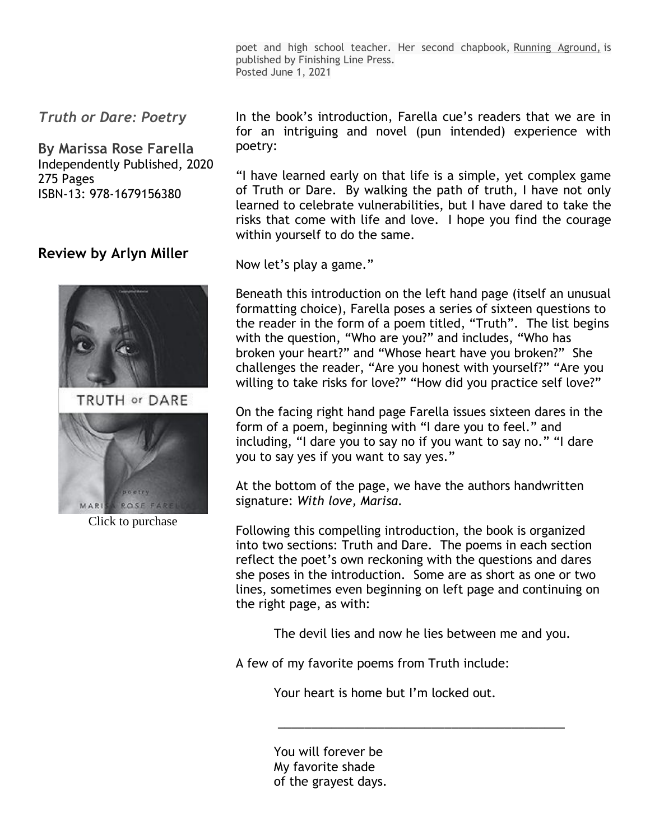poet and high school teacher. Her second chapbook, Running Aground, is published by Finishing Line Press. Posted June 1, 2021

*Truth or Dare: Poetry*

**By Marissa Rose Farella** Independently Published, 2020 275 Pages ISBN-13: 978-1679156380

## **Review by Arlyn Miller**



TRUTH or DARE



Click to purchase

In the book's introduction, Farella cue's readers that we are in for an intriguing and novel (pun intended) experience with poetry:

"I have learned early on that life is a simple, yet complex game of Truth or Dare. By walking the path of truth, I have not only learned to celebrate vulnerabilities, but I have dared to take the risks that come with life and love. I hope you find the courage within yourself to do the same.

Now let's play a game."

Beneath this introduction on the left hand page (itself an unusual formatting choice), Farella poses a series of sixteen questions to the reader in the form of a poem titled, "Truth". The list begins with the question, "Who are you?" and includes, "Who has broken your heart?" and "Whose heart have you broken?" She challenges the reader, "Are you honest with yourself?" "Are you willing to take risks for love?" "How did you practice self love?"

On the facing right hand page Farella issues sixteen dares in the form of a poem, beginning with "I dare you to feel." and including, "I dare you to say no if you want to say no." "I dare you to say yes if you want to say yes."

At the bottom of the page, we have the authors handwritten signature: *With love, Marisa.*

Following this compelling introduction, the book is organized into two sections: Truth and Dare. The poems in each section reflect the poet's own reckoning with the questions and dares she poses in the introduction. Some are as short as one or two lines, sometimes even beginning on left page and continuing on the right page, as with:

The devil lies and now he lies between me and you.

A few of my favorite poems from Truth include:

Your heart is home but I'm locked out.

 *\_\_\_\_\_\_\_\_\_\_\_\_\_\_\_\_\_\_\_\_\_\_\_\_\_\_\_\_\_\_\_\_\_\_\_\_\_\_\_\_\_\_\_*

You will forever be My favorite shade of the grayest days.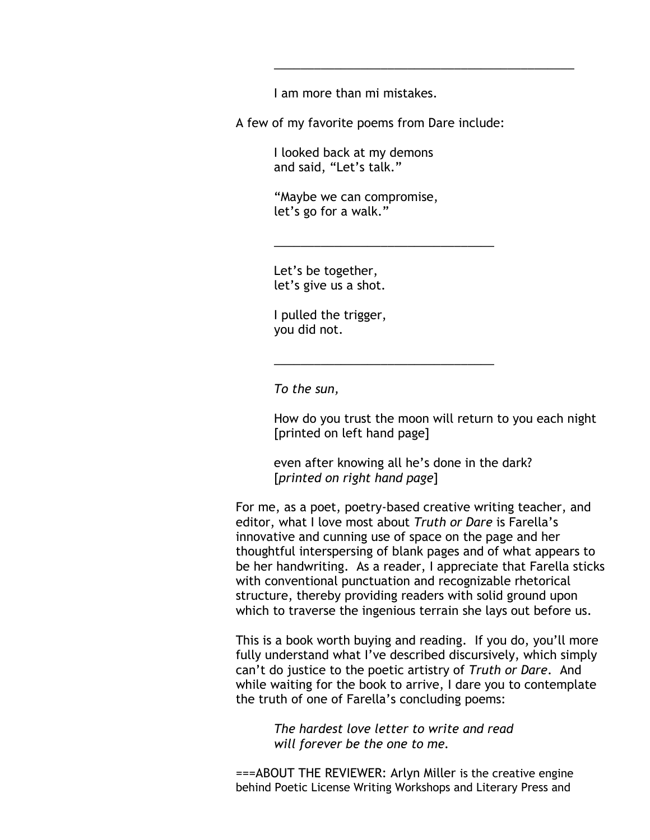I am more than mi mistakes.

A few of my favorite poems from Dare include:

 *\_\_\_\_\_\_\_\_\_\_\_\_\_\_\_\_\_\_\_\_\_\_\_\_\_\_\_\_\_\_\_\_\_\_\_\_\_\_\_\_\_\_\_\_\_*

 I looked back at my demons and said, "Let's talk."

 "Maybe we can compromise, let's go for a walk."

 *\_\_\_\_\_\_\_\_\_\_\_\_\_\_\_\_\_\_\_\_\_\_\_\_\_\_\_\_\_\_\_\_\_*

 *\_\_\_\_\_\_\_\_\_\_\_\_\_\_\_\_\_\_\_\_\_\_\_\_\_\_\_\_\_\_\_\_\_*

Let's be together, let's give us a shot.

 I pulled the trigger, you did not.

 *To the sun,*

How do you trust the moon will return to you each night [printed on left hand page]

even after knowing all he's done in the dark? [*printed on right hand page*]

For me, as a poet, poetry-based creative writing teacher, and editor, what I love most about *Truth or Dare* is Farella's innovative and cunning use of space on the page and her thoughtful interspersing of blank pages and of what appears to be her handwriting. As a reader, I appreciate that Farella sticks with conventional punctuation and recognizable rhetorical structure, thereby providing readers with solid ground upon which to traverse the ingenious terrain she lays out before us.

This is a book worth buying and reading. If you do, you'll more fully understand what I've described discursively, which simply can't do justice to the poetic artistry of *Truth or Dare*. And while waiting for the book to arrive, I dare you to contemplate the truth of one of Farella's concluding poems:

> *The hardest love letter to write and read will forever be the one to me.*

===ABOUT THE REVIEWER: Arlyn Miller is the creative engine behind Poetic License Writing Workshops and Literary Press and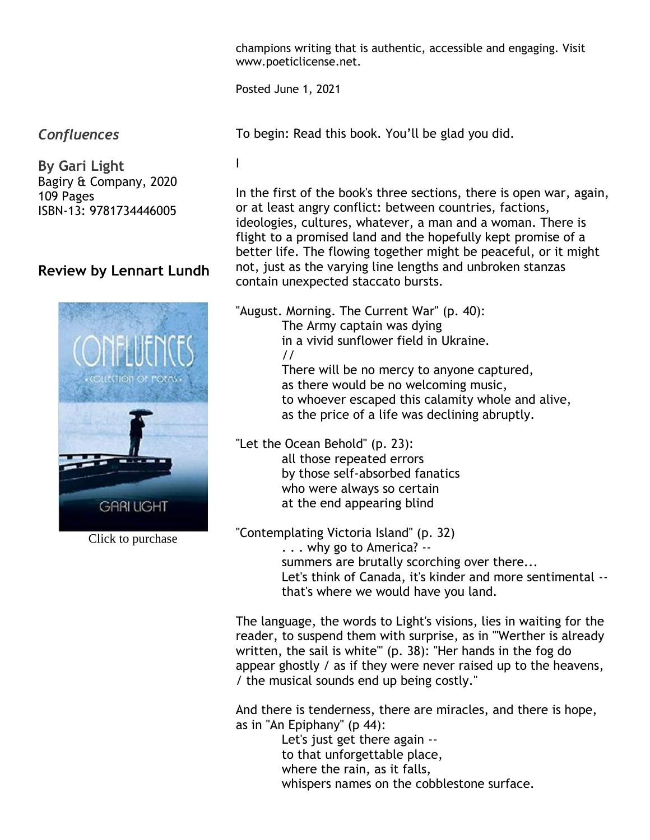champions writing that is authentic, accessible and engaging. Visit www.poeticlicense.net.

Posted June 1, 2021

*Confluences*

**By Gari Light** Bagiry & Company, 2020 109 Pages ISBN-13: 9781734446005

# **Review by Lennart Lundh**



Click to purchase

To begin: Read this book. You'll be glad you did.

I

In the first of the book's three sections, there is open war, again, or at least angry conflict: between countries, factions, ideologies, cultures, whatever, a man and a woman. There is flight to a promised land and the hopefully kept promise of a better life. The flowing together might be peaceful, or it might not, just as the varying line lengths and unbroken stanzas contain unexpected staccato bursts.

"August. Morning. The Current War" (p. 40): The Army captain was dying in a vivid sunflower field in Ukraine. // There will be no mercy to anyone captured, as there would be no welcoming music, to whoever escaped this calamity whole and alive, as the price of a life was declining abruptly.

"Let the Ocean Behold" (p. 23): all those repeated errors by those self-absorbed fanatics who were always so certain at the end appearing blind

"Contemplating Victoria Island" (p. 32) . . . why go to America? - summers are brutally scorching over there... Let's think of Canada, it's kinder and more sentimental - that's where we would have you land.

The language, the words to Light's visions, lies in waiting for the reader, to suspend them with surprise, as in "'Werther is already written, the sail is white'" (p. 38): "Her hands in the fog do appear ghostly / as if they were never raised up to the heavens, / the musical sounds end up being costly."

And there is tenderness, there are miracles, and there is hope, as in "An Epiphany" (p 44):

 Let's just get there again - to that unforgettable place, where the rain, as it falls, whispers names on the cobblestone surface.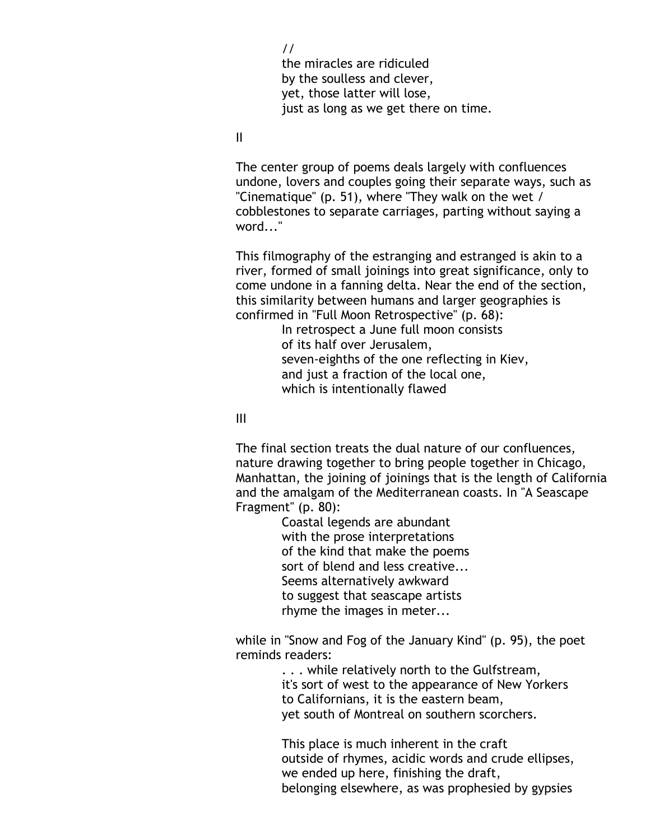// the miracles are ridiculed by the soulless and clever, yet, those latter will lose, just as long as we get there on time.

II

The center group of poems deals largely with confluences undone, lovers and couples going their separate ways, such as "Cinematique" (p. 51), where "They walk on the wet / cobblestones to separate carriages, parting without saying a word..."

This filmography of the estranging and estranged is akin to a river, formed of small joinings into great significance, only to come undone in a fanning delta. Near the end of the section, this similarity between humans and larger geographies is confirmed in "Full Moon Retrospective" (p. 68):

> In retrospect a June full moon consists of its half over Jerusalem, seven-eighths of the one reflecting in Kiev, and just a fraction of the local one, which is intentionally flawed

III

The final section treats the dual nature of our confluences, nature drawing together to bring people together in Chicago, Manhattan, the joining of joinings that is the length of California and the amalgam of the Mediterranean coasts. In "A Seascape Fragment" (p. 80):

> Coastal legends are abundant with the prose interpretations of the kind that make the poems sort of blend and less creative... Seems alternatively awkward to suggest that seascape artists rhyme the images in meter...

while in "Snow and Fog of the January Kind" (p. 95), the poet reminds readers:

> . . . while relatively north to the Gulfstream, it's sort of west to the appearance of New Yorkers to Californians, it is the eastern beam, yet south of Montreal on southern scorchers.

 This place is much inherent in the craft outside of rhymes, acidic words and crude ellipses, we ended up here, finishing the draft, belonging elsewhere, as was prophesied by gypsies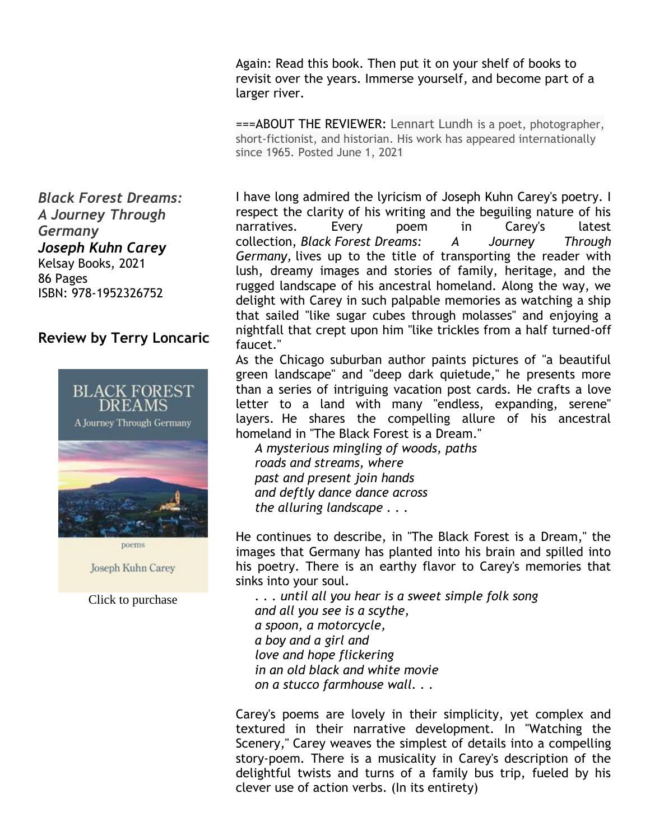Again: Read this book. Then put it on your shelf of books to revisit over the years. Immerse yourself, and become part of a larger river.

===ABOUT THE REVIEWER: Lennart Lundh is a poet, photographer, short-fictionist, and historian. His work has appeared internationally since 1965. Posted June 1, 2021

I have long admired the lyricism of Joseph Kuhn Carey's poetry. I respect the clarity of his writing and the beguiling nature of his narratives. Every poem in Carey's latest collection, *Black Forest Dreams: A Journey Through Germany,* lives up to the title of transporting the reader with lush, dreamy images and stories of family, heritage, and the rugged landscape of his ancestral homeland. Along the way, we delight with Carey in such palpable memories as watching a ship that sailed "like sugar cubes through molasses" and enjoying a nightfall that crept upon him "like trickles from a half turned-off faucet."

As the Chicago suburban author paints pictures of "a beautiful green landscape" and "deep dark quietude," he presents more than a series of intriguing vacation post cards. He crafts a love letter to a land with many "endless, expanding, serene" layers. He shares the compelling allure of his ancestral homeland in "The Black Forest is a Dream."

*A mysterious mingling of woods, paths roads and streams, where past and present join hands and deftly dance dance across the alluring landscape . . .*

He continues to describe, in "The Black Forest is a Dream," the images that Germany has planted into his brain and spilled into his poetry. There is an earthy flavor to Carey's memories that sinks into your soul.

*. . . until all you hear is a sweet simple folk song and all you see is a scythe, a spoon, a motorcycle, a boy and a girl and love and hope flickering in an old black and white movie on a stucco farmhouse wall. . .*

Carey's poems are lovely in their simplicity, yet complex and textured in their narrative development. In "Watching the Scenery," Carey weaves the simplest of details into a compelling story-poem. There is a musicality in Carey's description of the delightful twists and turns of a family bus trip, fueled by his clever use of action verbs. (In its entirety)

*Black Forest Dreams: A Journey Through Germany Joseph Kuhn Carey* Kelsay Books, 2021 86 Pages ISBN: 978-1952326752

### **Review by Terry Loncaric**



poems

Joseph Kuhn Carey

Click to purchase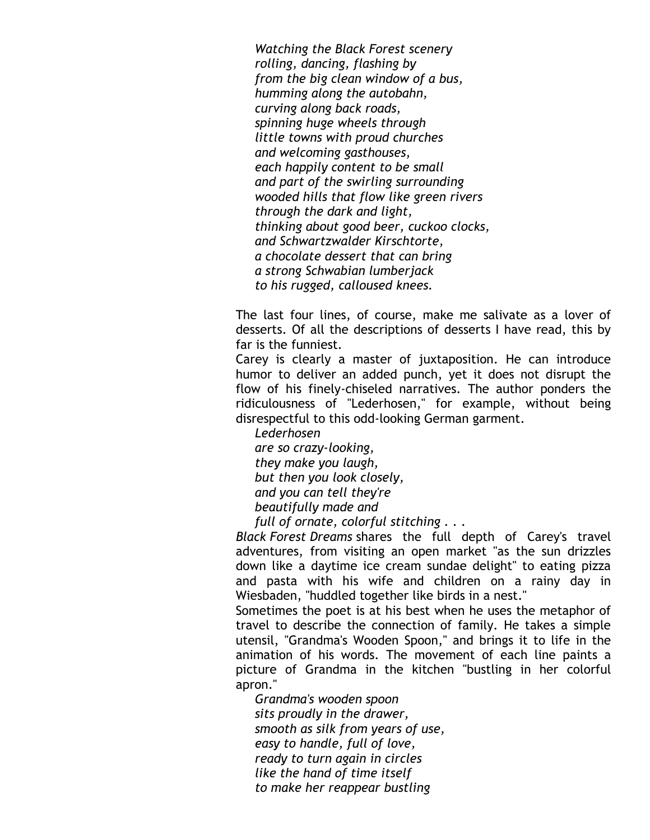*Watching the Black Forest scenery rolling, dancing, flashing by from the big clean window of a bus, humming along the autobahn, curving along back roads, spinning huge wheels through little towns with proud churches and welcoming gasthouses, each happily content to be small and part of the swirling surrounding wooded hills that flow like green rivers through the dark and light, thinking about good beer, cuckoo clocks, and Schwartzwalder Kirschtorte, a chocolate dessert that can bring a strong Schwabian lumberjack to his rugged, calloused knees.*

The last four lines, of course, make me salivate as a lover of desserts. Of all the descriptions of desserts I have read, this by far is the funniest.

Carey is clearly a master of juxtaposition. He can introduce humor to deliver an added punch, yet it does not disrupt the flow of his finely-chiseled narratives. The author ponders the ridiculousness of "Lederhosen," for example, without being disrespectful to this odd-looking German garment.

*Lederhosen are so crazy-looking, they make you laugh, but then you look closely, and you can tell they're beautifully made and*

*full of ornate, colorful stitching . . .*

*Black Forest Dreams* shares the full depth of Carey's travel adventures, from visiting an open market "as the sun drizzles down like a daytime ice cream sundae delight" to eating pizza and pasta with his wife and children on a rainy day in Wiesbaden, "huddled together like birds in a nest."

Sometimes the poet is at his best when he uses the metaphor of travel to describe the connection of family. He takes a simple utensil, "Grandma's Wooden Spoon," and brings it to life in the animation of his words. The movement of each line paints a picture of Grandma in the kitchen "bustling in her colorful apron."

*Grandma's wooden spoon sits proudly in the drawer, smooth as silk from years of use, easy to handle, full of love, ready to turn again in circles like the hand of time itself to make her reappear bustling*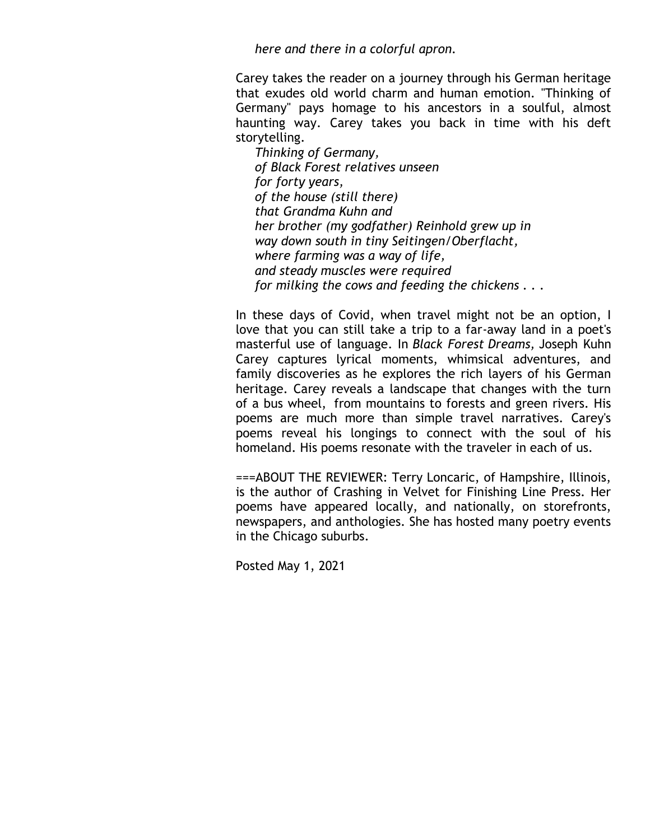*here and there in a colorful apron.*

Carey takes the reader on a journey through his German heritage that exudes old world charm and human emotion. "Thinking of Germany" pays homage to his ancestors in a soulful, almost haunting way. Carey takes you back in time with his deft storytelling.

*Thinking of Germany, of Black Forest relatives unseen for forty years, of the house (still there) that Grandma Kuhn and her brother (my godfather) Reinhold grew up in way down south in tiny Seitingen/Oberflacht, where farming was a way of life, and steady muscles were required for milking the cows and feeding the chickens . . .*

In these days of Covid, when travel might not be an option, I love that you can still take a trip to a far-away land in a poet's masterful use of language. In *Black Forest Dreams,* Joseph Kuhn Carey captures lyrical moments, whimsical adventures, and family discoveries as he explores the rich layers of his German heritage. Carey reveals a landscape that changes with the turn of a bus wheel, from mountains to forests and green rivers. His poems are much more than simple travel narratives. Carey's poems reveal his longings to connect with the soul of his homeland. His poems resonate with the traveler in each of us.

===ABOUT THE REVIEWER: Terry Loncaric, of Hampshire, Illinois, is the author of Crashing in Velvet for Finishing Line Press. Her poems have appeared locally, and nationally, on storefronts, newspapers, and anthologies. She has hosted many poetry events in the Chicago suburbs.

Posted May 1, 2021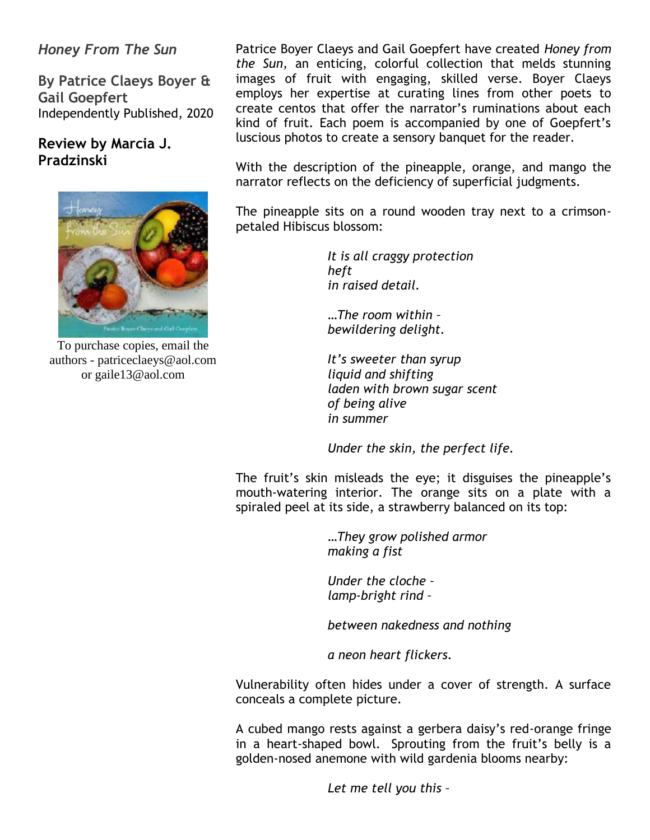## *Honey From The Sun*

**By Patrice Claeys Boyer & Gail Goepfert** Independently Published, 2020

## **Review by Marcia J. Pradzinski**



To purchase copies, email the authors - patriceclaeys@aol.com or gaile13@aol.com

Patrice Boyer Claeys and Gail Goepfert have created *Honey from the Sun,* an enticing, colorful collection that melds stunning images of fruit with engaging, skilled verse. Boyer Claeys employs her expertise at curating lines from other poets to create centos that offer the narrator's ruminations about each kind of fruit. Each poem is accompanied by one of Goepfert's luscious photos to create a sensory banquet for the reader.

With the description of the pineapple, orange, and mango the narrator reflects on the deficiency of superficial judgments.

The pineapple sits on a round wooden tray next to a crimsonpetaled Hibiscus blossom:

> *It is all craggy protection heft in raised detail.*

 *…The room within – bewildering delight.*

 *It's sweeter than syrup liquid and shifting laden with brown sugar scent of being alive in summer*

 *Under the skin, the perfect life.* 

The fruit's skin misleads the eye; it disguises the pineapple's mouth-watering interior. The orange sits on a plate with a spiraled peel at its side, a strawberry balanced on its top:

> *…They grow polished armor making a fist*

 *Under the cloche – lamp-bright rind –*

 *between nakedness and nothing*

 *a neon heart flickers.*

Vulnerability often hides under a cover of strength. A surface conceals a complete picture.

A cubed mango rests against a gerbera daisy's red-orange fringe in a heart-shaped bowl. Sprouting from the fruit's belly is a golden-nosed anemone with wild gardenia blooms nearby:

 *Let me tell you this –*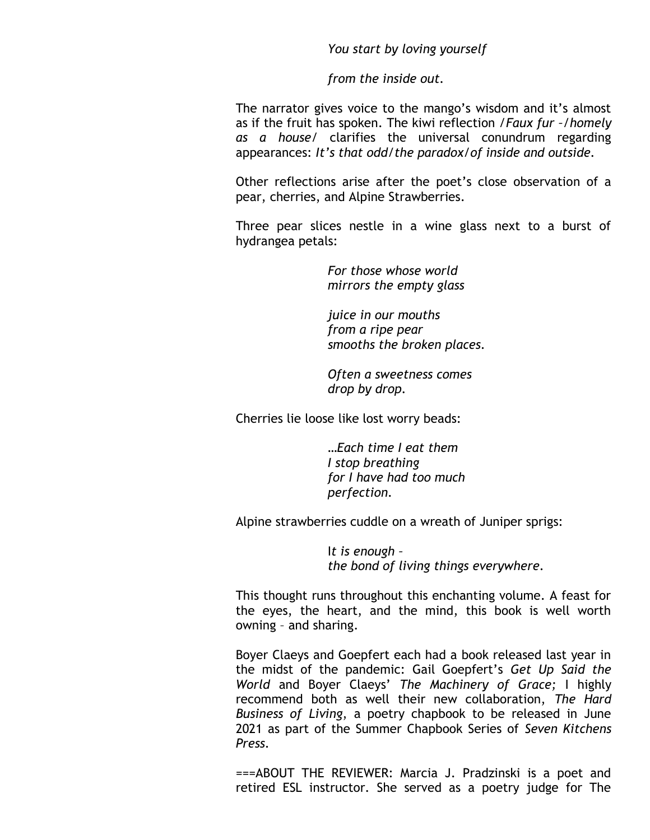*You start by loving yourself*

 *from the inside out.*

The narrator gives voice to the mango's wisdom and it's almost as if the fruit has spoken. The kiwi reflection /*Faux fur –/homely as a house*/ clarifies the universal conundrum regarding appearances: *It's that odd/the paradox/of inside and outside.*

Other reflections arise after the poet's close observation of a pear, cherries, and Alpine Strawberries.

Three pear slices nestle in a wine glass next to a burst of hydrangea petals:

> *For those whose world mirrors the empty glass*

 *juice in our mouths from a ripe pear smooths the broken places.*

 *Often a sweetness comes drop by drop.*

Cherries lie loose like lost worry beads:

 *…Each time I eat them I stop breathing for I have had too much perfection.*

Alpine strawberries cuddle on a wreath of Juniper sprigs:

 I*t is enough – the bond of living things everywhere.*

This thought runs throughout this enchanting volume. A feast for the eyes, the heart, and the mind, this book is well worth owning – and sharing.

Boyer Claeys and Goepfert each had a book released last year in the midst of the pandemic: Gail Goepfert's *Get Up Said the World* and Boyer Claeys' *The Machinery of Grace;* I highly recommend both as well their new collaboration, *The Hard Business of Living*, a poetry chapbook to be released in June 2021 as part of the Summer Chapbook Series of *Seven Kitchens Press.*

===ABOUT THE REVIEWER: Marcia J. Pradzinski is a poet and retired ESL instructor. She served as a poetry judge for The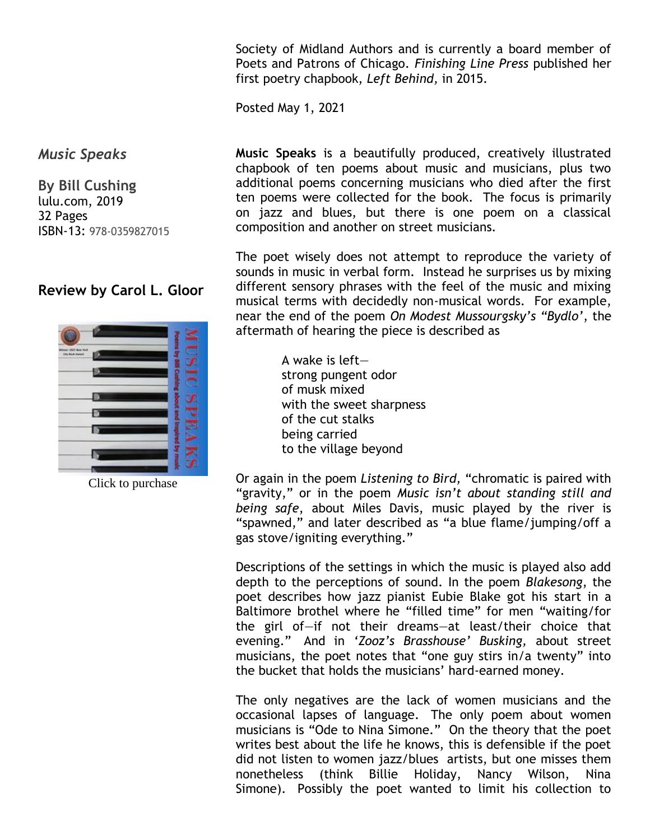Society of Midland Authors and is currently a board member of Poets and Patrons of Chicago. *Finishing Line Press* published her first poetry chapbook, *Left Behind,* in 2015.

Posted May 1, 2021

*Music Speaks*

**By Bill Cushing** lulu.com, 2019 32 Pages ISBN-13: 978-0359827015

# **Review by Carol L. Gloor**



Click to purchase

**Music Speaks** is a beautifully produced, creatively illustrated chapbook of ten poems about music and musicians, plus two additional poems concerning musicians who died after the first ten poems were collected for the book. The focus is primarily on jazz and blues, but there is one poem on a classical composition and another on street musicians.

The poet wisely does not attempt to reproduce the variety of sounds in music in verbal form. Instead he surprises us by mixing different sensory phrases with the feel of the music and mixing musical terms with decidedly non-musical words. For example, near the end of the poem *On Modest Mussourgsky's "Bydlo'*, the aftermath of hearing the piece is described as

> A wake is left strong pungent odor of musk mixed with the sweet sharpness of the cut stalks being carried to the village beyond

Or again in the poem *Listening to Bird,* "chromatic is paired with "gravity," or in the poem *Music isn't about standing still and being safe*, about Miles Davis, music played by the river is "spawned," and later described as "a blue flame/jumping/off a gas stove/igniting everything."

Descriptions of the settings in which the music is played also add depth to the perceptions of sound. In the poem *Blakesong*, the poet describes how jazz pianist Eubie Blake got his start in a Baltimore brothel where he "filled time" for men "waiting/for the girl of—if not their dreams—at least/their choice that evening." And in *'Zooz's Brasshouse' Busking,* about street musicians, the poet notes that "one guy stirs in/a twenty" into the bucket that holds the musicians' hard-earned money.

The only negatives are the lack of women musicians and the occasional lapses of language. The only poem about women musicians is "Ode to Nina Simone." On the theory that the poet writes best about the life he knows, this is defensible if the poet did not listen to women jazz/blues artists, but one misses them nonetheless (think Billie Holiday, Nancy Wilson, Nina Simone). Possibly the poet wanted to limit his collection to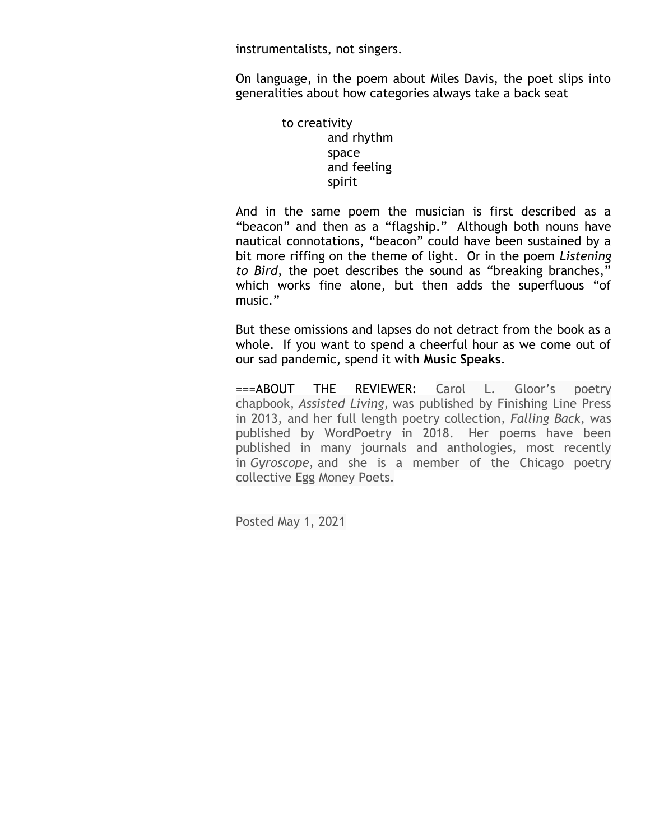instrumentalists, not singers.

On language, in the poem about Miles Davis, the poet slips into generalities about how categories always take a back seat

> to creativity and rhythm space and feeling spirit

And in the same poem the musician is first described as a "beacon" and then as a "flagship." Although both nouns have nautical connotations, "beacon" could have been sustained by a bit more riffing on the theme of light. Or in the poem *Listening to Bird*, the poet describes the sound as "breaking branches," which works fine alone, but then adds the superfluous "of music."

But these omissions and lapses do not detract from the book as a whole. If you want to spend a cheerful hour as we come out of our sad pandemic, spend it with **Music Speaks**.

===ABOUT THE REVIEWER: Carol L. Gloor's poetry chapbook, *Assisted Living,* was published by Finishing Line Press in 2013, and her full length poetry collection*, Falling Back*, was published by WordPoetry in 2018. Her poems have been published in many journals and anthologies, most recently in *Gyroscope,* and she is a member of the Chicago poetry collective Egg Money Poets.

Posted May 1, 2021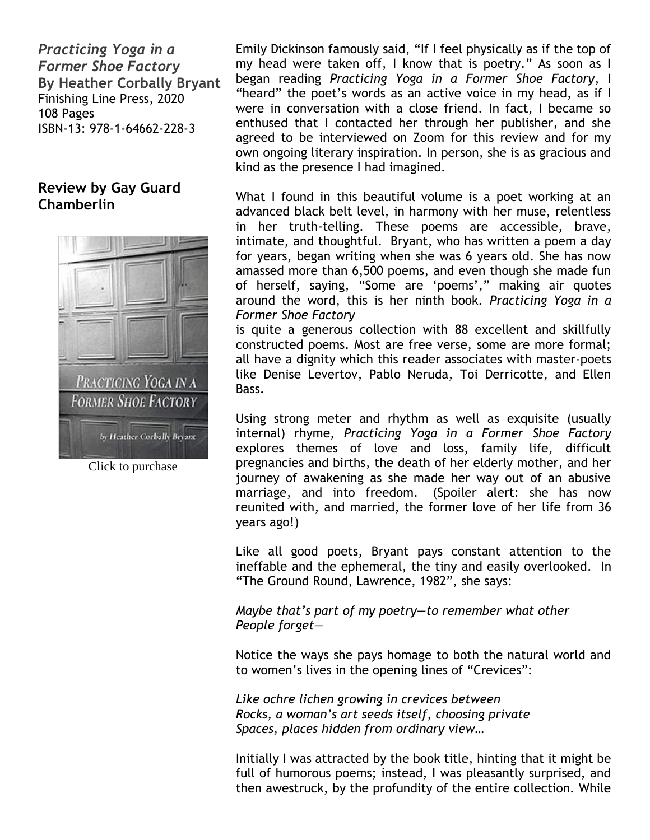*Practicing Yoga in a Former Shoe Factory* **By Heather Corbally Bryant** Finishing Line Press, 2020 108 Pages ISBN-13: 978-1-64662-228-3

## **Review by Gay Guard Chamberlin**



Click to purchase

Emily Dickinson famously said, "If I feel physically as if the top of my head were taken off, I know that is poetry." As soon as I began reading *Practicing Yoga in a Former Shoe Factory*, I "heard" the poet's words as an active voice in my head, as if I were in conversation with a close friend. In fact, I became so enthused that I contacted her through her publisher, and she agreed to be interviewed on Zoom for this review and for my own ongoing literary inspiration. In person, she is as gracious and kind as the presence I had imagined.

What I found in this beautiful volume is a poet working at an advanced black belt level, in harmony with her muse, relentless in her truth-telling. These poems are accessible, brave, intimate, and thoughtful. Bryant, who has written a poem a day for years, began writing when she was 6 years old. She has now amassed more than 6,500 poems, and even though she made fun of herself, saying, "Some are 'poems'," making air quotes around the word, this is her ninth book. *Practicing Yoga in a Former Shoe Factory*

is quite a generous collection with 88 excellent and skillfully constructed poems. Most are free verse, some are more formal; all have a dignity which this reader associates with master-poets like Denise Levertov, Pablo Neruda, Toi Derricotte, and Ellen Bass.

Using strong meter and rhythm as well as exquisite (usually internal) rhyme, *Practicing Yoga in a Former Shoe Factory*  explores themes of love and loss, family life, difficult pregnancies and births, the death of her elderly mother, and her journey of awakening as she made her way out of an abusive marriage, and into freedom. (Spoiler alert: she has now reunited with, and married, the former love of her life from 36 years ago!)

Like all good poets, Bryant pays constant attention to the ineffable and the ephemeral, the tiny and easily overlooked. In "The Ground Round, Lawrence, 1982", she says:

*Maybe that's part of my poetry—to remember what other People forget—*

Notice the ways she pays homage to both the natural world and to women's lives in the opening lines of "Crevices":

*Like ochre lichen growing in crevices between Rocks, a woman's art seeds itself, choosing private Spaces, places hidden from ordinary view…*

Initially I was attracted by the book title, hinting that it might be full of humorous poems; instead, I was pleasantly surprised, and then awestruck, by the profundity of the entire collection. While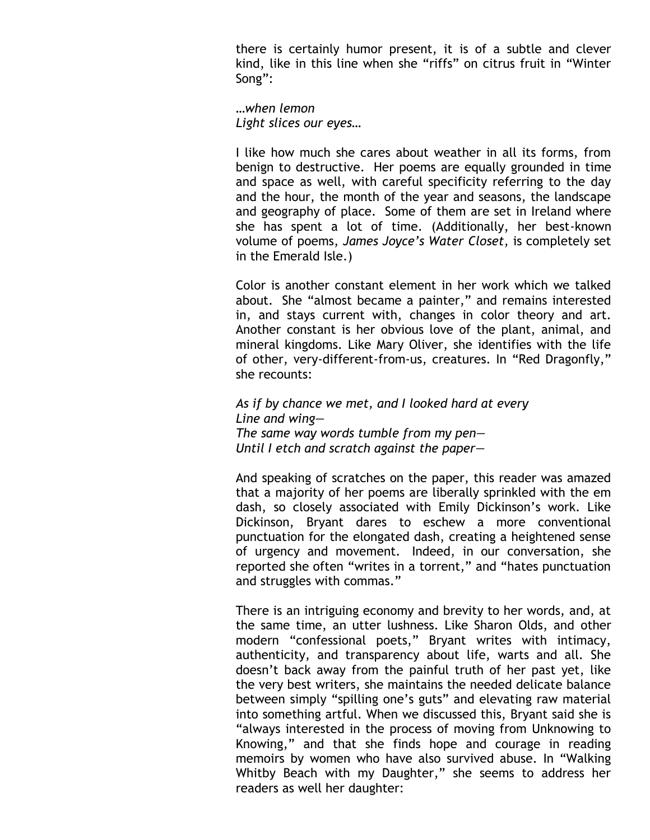there is certainly humor present, it is of a subtle and clever kind, like in this line when she "riffs" on citrus fruit in "Winter Song":

*…when lemon Light slices our eyes…*

I like how much she cares about weather in all its forms, from benign to destructive. Her poems are equally grounded in time and space as well, with careful specificity referring to the day and the hour, the month of the year and seasons, the landscape and geography of place. Some of them are set in Ireland where she has spent a lot of time. (Additionally, her best-known volume of poems, *James Joyce's Water Closet*, is completely set in the Emerald Isle.)

Color is another constant element in her work which we talked about. She "almost became a painter," and remains interested in, and stays current with, changes in color theory and art. Another constant is her obvious love of the plant, animal, and mineral kingdoms. Like Mary Oliver, she identifies with the life of other, very-different-from-us, creatures. In "Red Dragonfly," she recounts:

*As if by chance we met, and I looked hard at every Line and wing— The same way words tumble from my pen— Until I etch and scratch against the paper—*

And speaking of scratches on the paper, this reader was amazed that a majority of her poems are liberally sprinkled with the em dash, so closely associated with Emily Dickinson's work. Like Dickinson, Bryant dares to eschew a more conventional punctuation for the elongated dash, creating a heightened sense of urgency and movement. Indeed, in our conversation, she reported she often "writes in a torrent," and "hates punctuation and struggles with commas."

There is an intriguing economy and brevity to her words, and, at the same time, an utter lushness. Like Sharon Olds, and other modern "confessional poets," Bryant writes with intimacy, authenticity, and transparency about life, warts and all. She doesn't back away from the painful truth of her past yet, like the very best writers, she maintains the needed delicate balance between simply "spilling one's guts" and elevating raw material into something artful. When we discussed this, Bryant said she is "always interested in the process of moving from Unknowing to Knowing," and that she finds hope and courage in reading memoirs by women who have also survived abuse. In "Walking Whitby Beach with my Daughter," she seems to address her readers as well her daughter: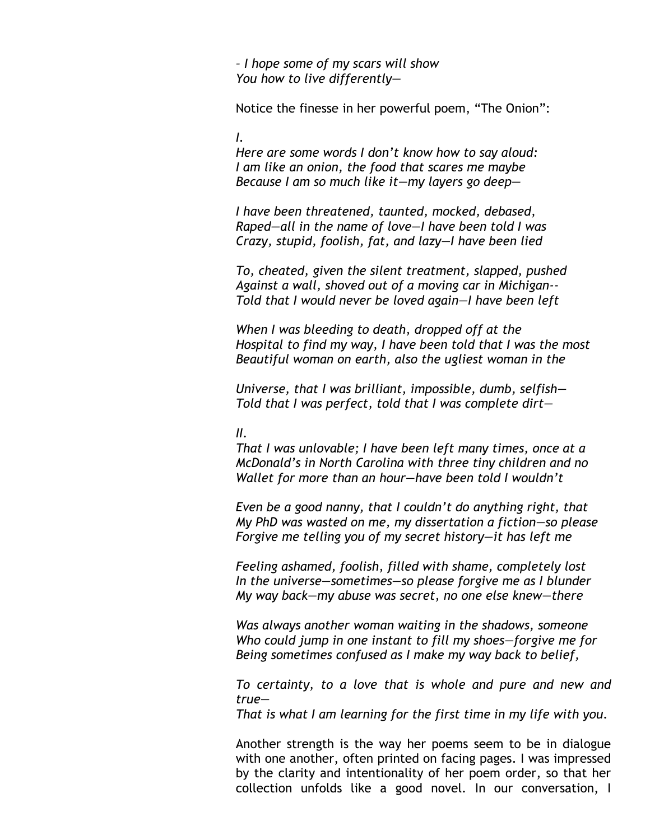*– I hope some of my scars will show You how to live differently—*

Notice the finesse in her powerful poem, "The Onion":

*I.*

*Here are some words I don't know how to say aloud: I am like an onion, the food that scares me maybe Because I am so much like it—my layers go deep—*

*I have been threatened, taunted, mocked, debased, Raped—all in the name of love—I have been told I was Crazy, stupid, foolish, fat, and lazy—I have been lied*

*To, cheated, given the silent treatment, slapped, pushed Against a wall, shoved out of a moving car in Michigan-- Told that I would never be loved again—I have been left*

*When I was bleeding to death, dropped off at the Hospital to find my way, I have been told that I was the most Beautiful woman on earth, also the ugliest woman in the* 

*Universe, that I was brilliant, impossible, dumb, selfish— Told that I was perfect, told that I was complete dirt—*

#### *II.*

*That I was unlovable; I have been left many times, once at a McDonald's in North Carolina with three tiny children and no Wallet for more than an hour—have been told I wouldn't*

*Even be a good nanny, that I couldn't do anything right, that My PhD was wasted on me, my dissertation a fiction—so please Forgive me telling you of my secret history—it has left me*

*Feeling ashamed, foolish, filled with shame, completely lost In the universe—sometimes—so please forgive me as I blunder My way back—my abuse was secret, no one else knew—there*

*Was always another woman waiting in the shadows, someone Who could jump in one instant to fill my shoes—forgive me for Being sometimes confused as I make my way back to belief,*

*To certainty, to a love that is whole and pure and new and true—*

*That is what I am learning for the first time in my life with you.*

Another strength is the way her poems seem to be in dialogue with one another, often printed on facing pages. I was impressed by the clarity and intentionality of her poem order, so that her collection unfolds like a good novel. In our conversation, I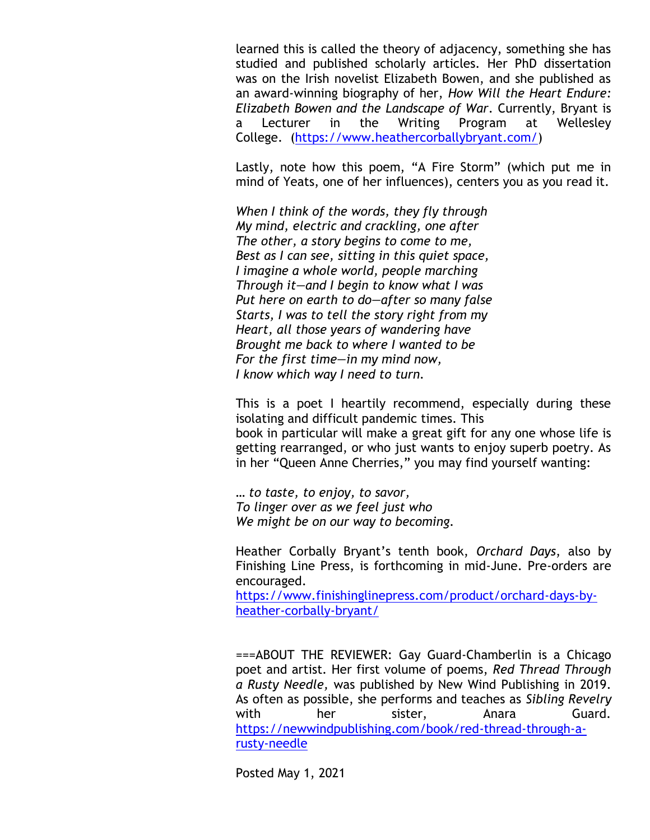learned this is called the theory of adjacency, something she has studied and published scholarly articles. Her PhD dissertation was on the Irish novelist Elizabeth Bowen, and she published as an award-winning biography of her, *How Will the Heart Endure: Elizabeth Bowen and the Landscape of War*. Currently, Bryant is a Lecturer in the Writing Program at Wellesley College. [\(https://www.heathercorballybryant.com/\)](https://www.heathercorballybryant.com/)

Lastly, note how this poem, "A Fire Storm" (which put me in mind of Yeats, one of her influences), centers you as you read it.

*When I think of the words, they fly through My mind, electric and crackling, one after The other, a story begins to come to me, Best as I can see, sitting in this quiet space, I imagine a whole world, people marching Through it—and I begin to know what I was Put here on earth to do—after so many false Starts, I was to tell the story right from my Heart, all those years of wandering have Brought me back to where I wanted to be For the first time—in my mind now, I know which way I need to turn.* 

This is a poet I heartily recommend, especially during these isolating and difficult pandemic times. This book in particular will make a great gift for any one whose life is getting rearranged, or who just wants to enjoy superb poetry. As in her "Queen Anne Cherries," you may find yourself wanting:

*… to taste, to enjoy, to savor, To linger over as we feel just who We might be on our way to becoming.*

Heather Corbally Bryant's tenth book, *Orchard Days*, also by Finishing Line Press, is forthcoming in mid-June. Pre-orders are encouraged.

[https://www.finishinglinepress.com/product/orchard-days-by](https://www.finishinglinepress.com/product/orchard-days-by-heather-corbally-bryant/)[heather-corbally-bryant/](https://www.finishinglinepress.com/product/orchard-days-by-heather-corbally-bryant/)

===ABOUT THE REVIEWER: Gay Guard-Chamberlin is a Chicago poet and artist. Her first volume of poems, *Red Thread Through a Rusty Needle,* was published by New Wind Publishing in 2019. As often as possible, she performs and teaches as *Sibling Revelry* with her sister, Anara Guard. [https://newwindpublishing.com/book/red-thread-through-a](https://newwindpublishing.com/book/red-thread-through-a-rusty-needle)[rusty-needle](https://newwindpublishing.com/book/red-thread-through-a-rusty-needle)

Posted May 1, 2021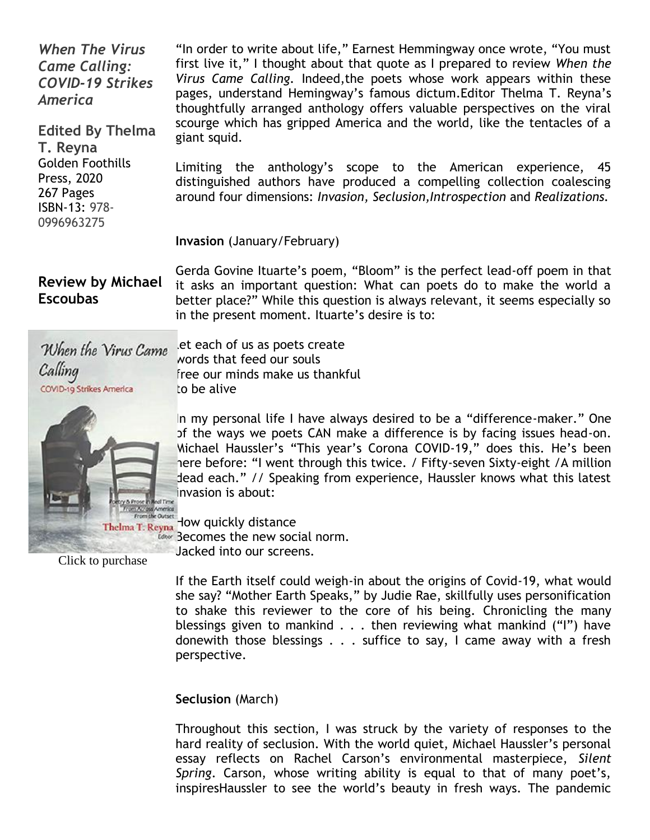*When The Virus Came Calling: COVID-19 Strikes America*

**Edited By Thelma T. Reyna** Golden Foothills Press, 2020 267 Pages ISBN-13: 978- 0996963275

"In order to write about life," Earnest Hemmingway once wrote, "You must first live it," I thought about that quote as I prepared to review *When the Virus Came Calling.* Indeed,the poets whose work appears within these pages, understand Hemingway's famous dictum.Editor Thelma T. Reyna's thoughtfully arranged anthology offers valuable perspectives on the viral scourge which has gripped America and the world, like the tentacles of a giant squid.

Limiting the anthology's scope to the American experience, 45 distinguished authors have produced a compelling collection coalescing around four dimensions: *Invasion, Seclusion,Introspection* and *Realizations.*

#### **Invasion** (January/February)

**Review by Michael Escoubas**

Gerda Govine Ituarte's poem, "Bloom" is the perfect lead-off poem in that it asks an important question: What can poets do to make the world a better place?" While this question is always relevant, it seems especially so in the present moment. Ituarte's desire is to:

When the Virus Came Calling COVID-19 Strikes America

[l](https://www.amazon.com/When-Virus-Came-Calling-COVID-19/dp/0996963278/ref=sr_1_1?dchild=1&keywords=when+the+virus+came+calling&qid=1619783229&sr=8-1)et each of us as poets create words that feed our souls free our minds make us thankful to be alive

In my personal life I have always desired to be a "difference-maker." One of the ways we poets CAN make a difference is by facing issues head-on. Michael Haussler's "This year's Corona COVID-19," does this. He's been here before: "I went through this twice. / Fifty-seven Sixty-eight /A million dead each." // Speaking from experience, Haussler knows what this latest invasion is about:

How are over How quickly distance Becomes the new social norm. Jacked into our screens.

Click to purchase

If the Earth itself could weigh-in about the origins of Covid-19, what would she say? "Mother Earth Speaks," by Judie Rae, skillfully uses personification to shake this reviewer to the core of his being. Chronicling the many blessings given to mankind . . . then reviewing what mankind ("I") have donewith those blessings . . . suffice to say, I came away with a fresh perspective.

**Seclusion** (March)

Throughout this section, I was struck by the variety of responses to the hard reality of seclusion. With the world quiet, Michael Haussler's personal essay reflects on Rachel Carson's environmental masterpiece, *Silent Spring*. Carson, whose writing ability is equal to that of many poet's, inspiresHaussler to see the world's beauty in fresh ways. The pandemic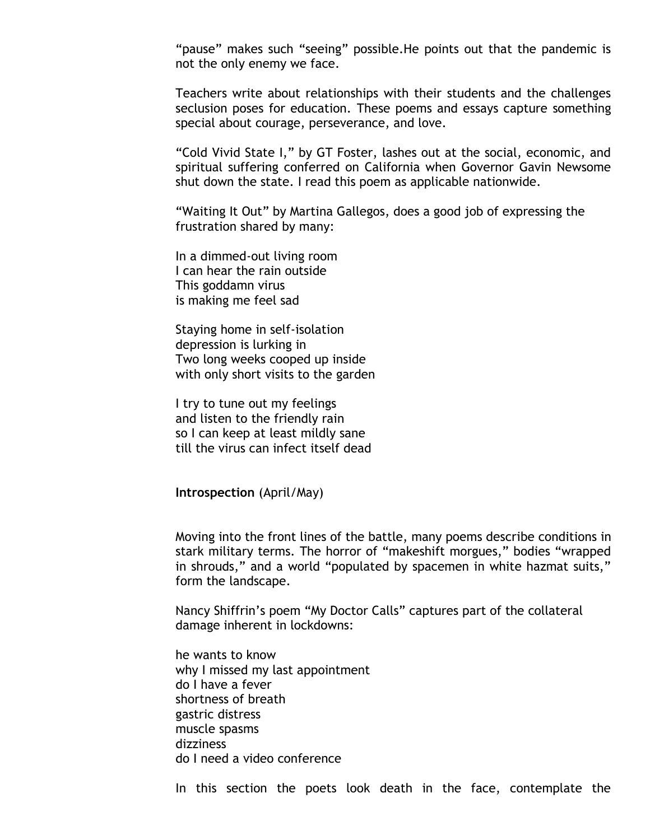"pause" makes such "seeing" possible.He points out that the pandemic is not the only enemy we face.

Teachers write about relationships with their students and the challenges seclusion poses for education. These poems and essays capture something special about courage, perseverance, and love.

"Cold Vivid State I," by GT Foster, lashes out at the social, economic, and spiritual suffering conferred on California when Governor Gavin Newsome shut down the state. I read this poem as applicable nationwide.

"Waiting It Out" by Martina Gallegos, does a good job of expressing the frustration shared by many:

In a dimmed-out living room I can hear the rain outside This goddamn virus is making me feel sad

Staying home in self-isolation depression is lurking in Two long weeks cooped up inside with only short visits to the garden

I try to tune out my feelings and listen to the friendly rain so I can keep at least mildly sane till the virus can infect itself dead

**Introspection** (April/May)

Moving into the front lines of the battle, many poems describe conditions in stark military terms. The horror of "makeshift morgues," bodies "wrapped in shrouds," and a world "populated by spacemen in white hazmat suits," form the landscape.

Nancy Shiffrin's poem "My Doctor Calls" captures part of the collateral damage inherent in lockdowns:

he wants to know why I missed my last appointment do I have a fever shortness of breath gastric distress muscle spasms dizziness do I need a video conference

In this section the poets look death in the face, contemplate the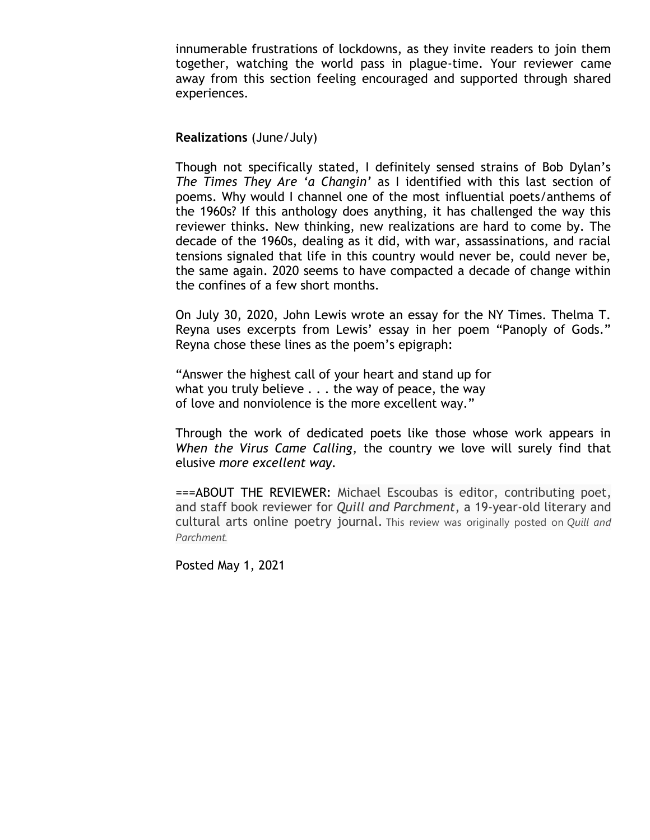innumerable frustrations of lockdowns, as they invite readers to join them together, watching the world pass in plague-time. Your reviewer came away from this section feeling encouraged and supported through shared experiences.

#### **Realizations** (June/July)

Though not specifically stated, I definitely sensed strains of Bob Dylan's *The Times They Are 'a Changin'* as I identified with this last section of poems. Why would I channel one of the most influential poets/anthems of the 1960s? If this anthology does anything, it has challenged the way this reviewer thinks. New thinking, new realizations are hard to come by. The decade of the 1960s, dealing as it did, with war, assassinations, and racial tensions signaled that life in this country would never be, could never be, the same again. 2020 seems to have compacted a decade of change within the confines of a few short months.

On July 30, 2020, John Lewis wrote an essay for the NY Times. Thelma T. Reyna uses excerpts from Lewis' essay in her poem "Panoply of Gods." Reyna chose these lines as the poem's epigraph:

"Answer the highest call of your heart and stand up for what you truly believe . . . the way of peace, the way of love and nonviolence is the more excellent way."

Through the work of dedicated poets like those whose work appears in *When the Virus Came Calling*, the country we love will surely find that elusive *more excellent way.*

===ABOUT THE REVIEWER: Michael Escoubas is editor, contributing poet, and staff book reviewer for *Quill and Parchment*, a 19-year-old literary and cultural arts online poetry journal. This review was originally posted on *Quill and Parchment.*

Posted May 1, 2021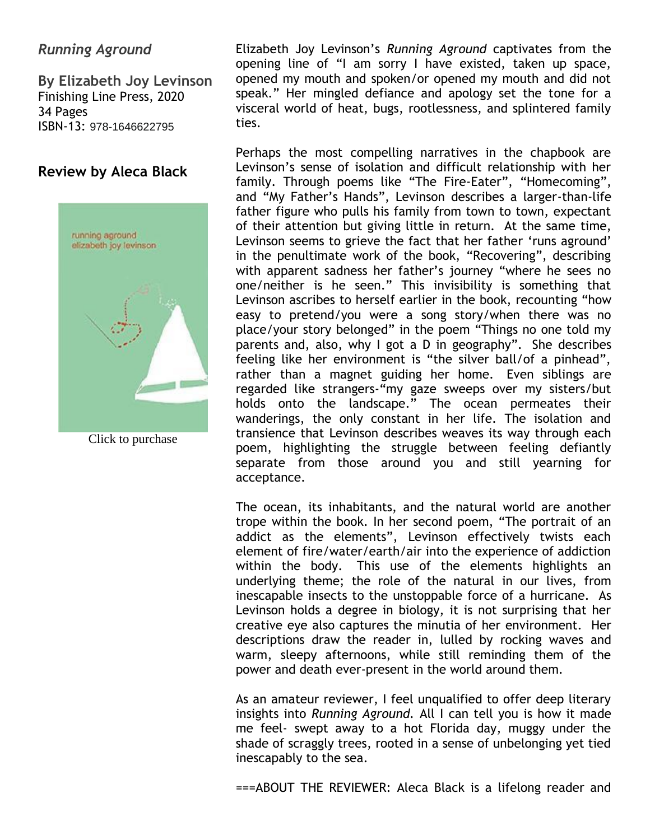# *Running Aground*

**By Elizabeth Joy Levinson** Finishing Line Press, 2020 34 Pages ISBN-13: 978-1646622795

## **Review by Aleca Black**



Click to purchase

Elizabeth Joy Levinson's *Running Aground* captivates from the opening line of "I am sorry I have existed, taken up space, opened my mouth and spoken/or opened my mouth and did not speak." Her mingled defiance and apology set the tone for a visceral world of heat, bugs, rootlessness, and splintered family ties.

Perhaps the most compelling narratives in the chapbook are Levinson's sense of isolation and difficult relationship with her family. Through poems like "The Fire-Eater", "Homecoming", and "My Father's Hands", Levinson describes a larger-than-life father figure who pulls his family from town to town, expectant of their attention but giving little in return. At the same time, Levinson seems to grieve the fact that her father 'runs aground' in the penultimate work of the book, "Recovering", describing with apparent sadness her father's journey "where he sees no one/neither is he seen." This invisibility is something that Levinson ascribes to herself earlier in the book, recounting "how easy to pretend/you were a song story/when there was no place/your story belonged" in the poem "Things no one told my parents and, also, why I got a D in geography". She describes feeling like her environment is "the silver ball/of a pinhead", rather than a magnet guiding her home. Even siblings are regarded like strangers-"my gaze sweeps over my sisters/but holds onto the landscape." The ocean permeates their wanderings, the only constant in her life. The isolation and transience that Levinson describes weaves its way through each poem, highlighting the struggle between feeling defiantly separate from those around you and still yearning for acceptance.

The ocean, its inhabitants, and the natural world are another trope within the book. In her second poem, "The portrait of an addict as the elements", Levinson effectively twists each element of fire/water/earth/air into the experience of addiction within the body. This use of the elements highlights an underlying theme; the role of the natural in our lives, from inescapable insects to the unstoppable force of a hurricane. As Levinson holds a degree in biology, it is not surprising that her creative eye also captures the minutia of her environment. Her descriptions draw the reader in, lulled by rocking waves and warm, sleepy afternoons, while still reminding them of the power and death ever-present in the world around them.

As an amateur reviewer, I feel unqualified to offer deep literary insights into *Running Aground.* All I can tell you is how it made me feel- swept away to a hot Florida day, muggy under the shade of scraggly trees, rooted in a sense of unbelonging yet tied inescapably to the sea.

===ABOUT THE REVIEWER: Aleca Black is a lifelong reader and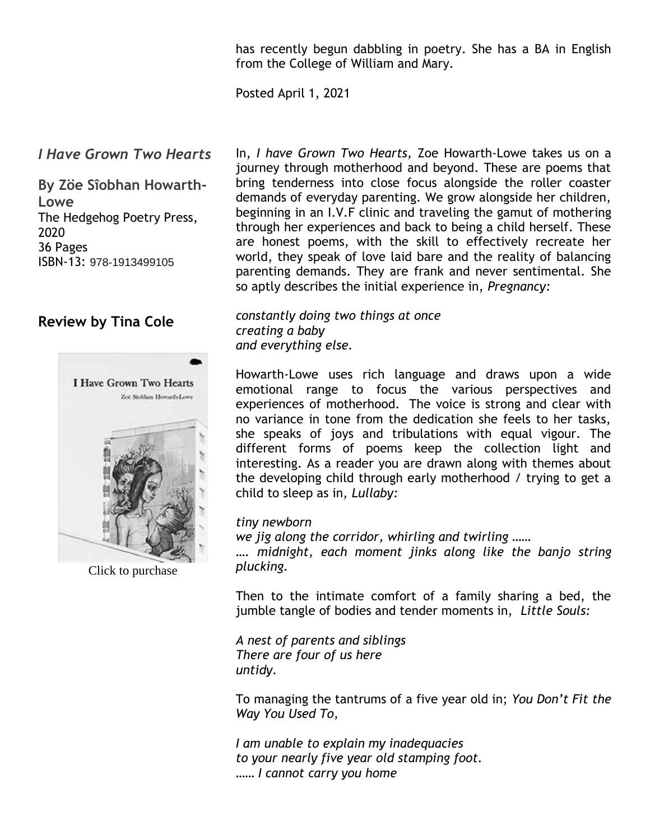has recently begun dabbling in poetry. She has a BA in English from the College of William and Mary.

Posted April 1, 2021

### *I Have Grown Two Hearts*

**By Zöe Sîobhan Howarth-Lowe** The Hedgehog Poetry Press, 2020 36 Pages ISBN-13: 978-1913499105

## **Review by Tina Cole**



Click to purchase

In, *I have Grown Two Hearts,* Zoe Howarth-Lowe takes us on a journey through motherhood and beyond. These are poems that bring tenderness into close focus alongside the roller coaster demands of everyday parenting. We grow alongside her children, beginning in an I.V.F clinic and traveling the gamut of mothering through her experiences and back to being a child herself. These are honest poems, with the skill to effectively recreate her world, they speak of love laid bare and the reality of balancing parenting demands. They are frank and never sentimental. She so aptly describes the initial experience in, *Pregnancy:*

*constantly doing two things at once creating a baby and everything else.* 

Howarth-Lowe uses rich language and draws upon a wide emotional range to focus the various perspectives and experiences of motherhood. The voice is strong and clear with no variance in tone from the dedication she feels to her tasks, she speaks of joys and tribulations with equal vigour. The different forms of poems keep the collection light and interesting. As a reader you are drawn along with themes about the developing child through early motherhood / trying to get a child to sleep as in, *Lullaby:*

#### *tiny newborn*

*we jig along the corridor, whirling and twirling ……*

*…. midnight, each moment jinks along like the banjo string plucking.*

Then to the intimate comfort of a family sharing a bed, the jumble tangle of bodies and tender moments in, *Little Souls:*

*A nest of parents and siblings There are four of us here untidy.* 

To managing the tantrums of a five year old in; *You Don't Fit the Way You Used To,*

*I am unable to explain my inadequacies to your nearly five year old stamping foot. …… I cannot carry you home*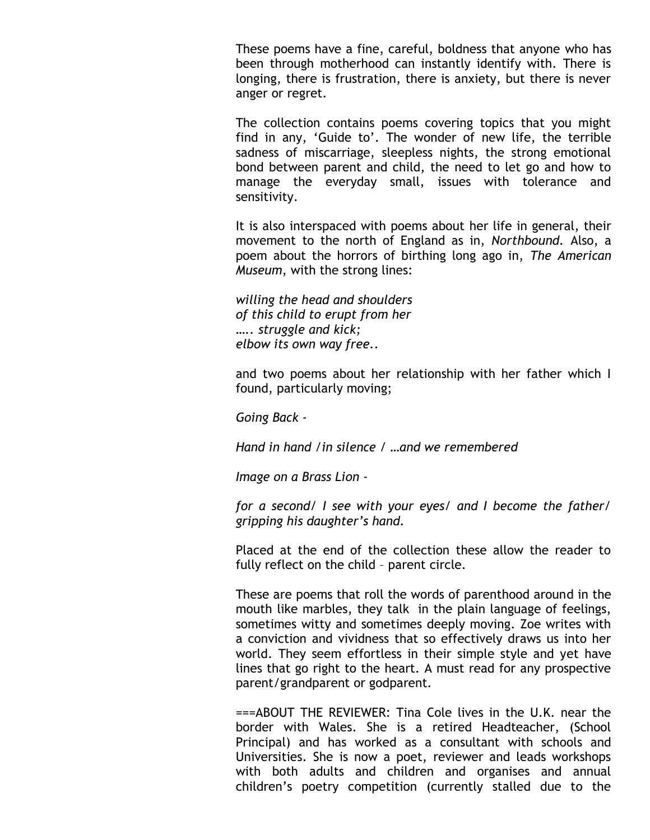These poems have a fine, careful, boldness that anyone who has been through motherhood can instantly identify with. There is longing, there is frustration, there is anxiety, but there is never anger or regret.

The collection contains poems covering topics that you might find in any, 'Guide to'. The wonder of new life, the terrible sadness of miscarriage, sleepless nights, the strong emotional bond between parent and child, the need to let go and how to manage the everyday small, issues with tolerance and sensitivity.

It is also interspaced with poems about her life in general, their movement to the north of England as in, *Northbound.* Also, a poem about the horrors of birthing long ago in, *The American Museum*, with the strong lines:

*willing the head and shoulders of this child to erupt from her ….. struggle and kick; elbow its own way free..*

and two poems about her relationship with her father which I found, particularly moving;

*Going Back -*

*Hand in hand /in silence / …and we remembered*

*Image on a Brass Lion -*

*for a second/ I see with your eyes/ and I become the father/ gripping his daughter's hand.*

Placed at the end of the collection these allow the reader to fully reflect on the child – parent circle.

These are poems that roll the words of parenthood around in the mouth like marbles, they talk in the plain language of feelings, sometimes witty and sometimes deeply moving. Zoe writes with a conviction and vividness that so effectively draws us into her world. They seem effortless in their simple style and yet have lines that go right to the heart. A must read for any prospective parent/grandparent or godparent.

===ABOUT THE REVIEWER: Tina Cole lives in the U.K. near the border with Wales. She is a retired Headteacher, (School Principal) and has worked as a consultant with schools and Universities. She is now a poet, reviewer and leads workshops with both adults and children and organises and annual children's poetry competition (currently stalled due to the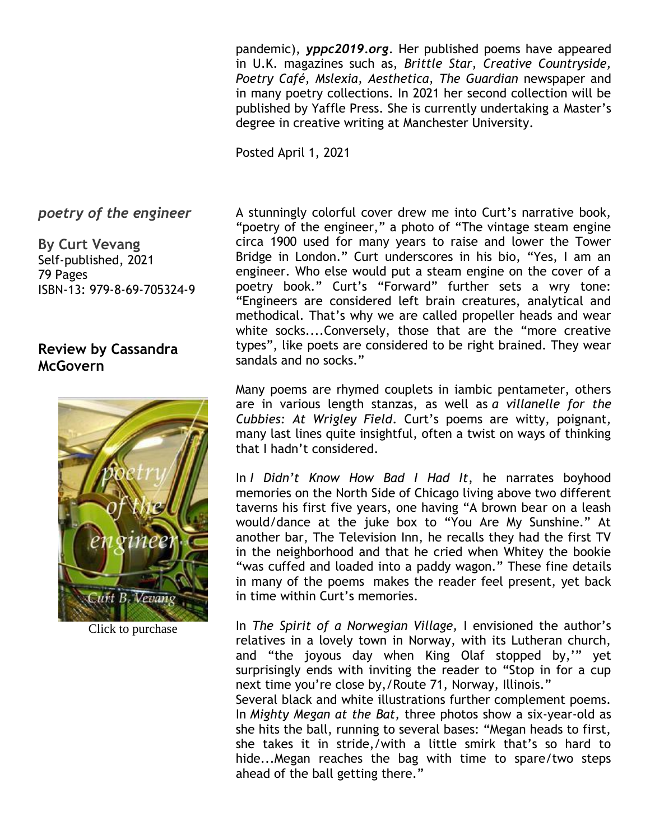pandemic), *yppc2019.org*. Her published poems have appeared in U.K. magazines such as, *Brittle Star, Creative Countryside, Poetry Café, Mslexia, Aesthetica, The Guardian* newspaper and in many poetry collections. In 2021 her second collection will be published by Yaffle Press. She is currently undertaking a Master's degree in creative writing at Manchester University.

Posted April 1, 2021

#### *poetry of the engineer*

**By Curt Vevang** Self-published, 2021 79 Pages ISBN-13: 979-8-69-705324-9

### **Review by Cassandra McGovern**



Click to purchase

A stunningly colorful cover drew me into Curt's narrative book, "poetry of the engineer," a photo of "The vintage steam engine circa 1900 used for many years to raise and lower the Tower Bridge in London." Curt underscores in his bio, "Yes, I am an engineer. Who else would put a steam engine on the cover of a poetry book." Curt's "Forward" further sets a wry tone: "Engineers are considered left brain creatures, analytical and methodical. That's why we are called propeller heads and wear white socks....Conversely, those that are the "more creative types", like poets are considered to be right brained. They wear sandals and no socks."

Many poems are rhymed couplets in iambic pentameter, others are in various length stanzas, as well as *a villanelle for the Cubbies: At Wrigley Field*. Curt's poems are witty, poignant, many last lines quite insightful, often a twist on ways of thinking that I hadn't considered.

In *I Didn't Know How Bad I Had It*, he narrates boyhood memories on the North Side of Chicago living above two different taverns his first five years, one having "A brown bear on a leash would/dance at the juke box to "You Are My Sunshine." At another bar, The Television Inn, he recalls they had the first TV in the neighborhood and that he cried when Whitey the bookie "was cuffed and loaded into a paddy wagon." These fine details in many of the poems makes the reader feel present, yet back in time within Curt's memories.

In *The Spirit of a Norwegian Village,* I envisioned the author's relatives in a lovely town in Norway, with its Lutheran church, and "the joyous day when King Olaf stopped by,'" yet surprisingly ends with inviting the reader to "Stop in for a cup next time you're close by,/Route 71, Norway, Illinois."

Several black and white illustrations further complement poems. In *Mighty Megan at the Bat,* three photos show a six-year-old as she hits the ball, running to several bases: "Megan heads to first, she takes it in stride,/with a little smirk that's so hard to hide...Megan reaches the bag with time to spare/two steps ahead of the ball getting there."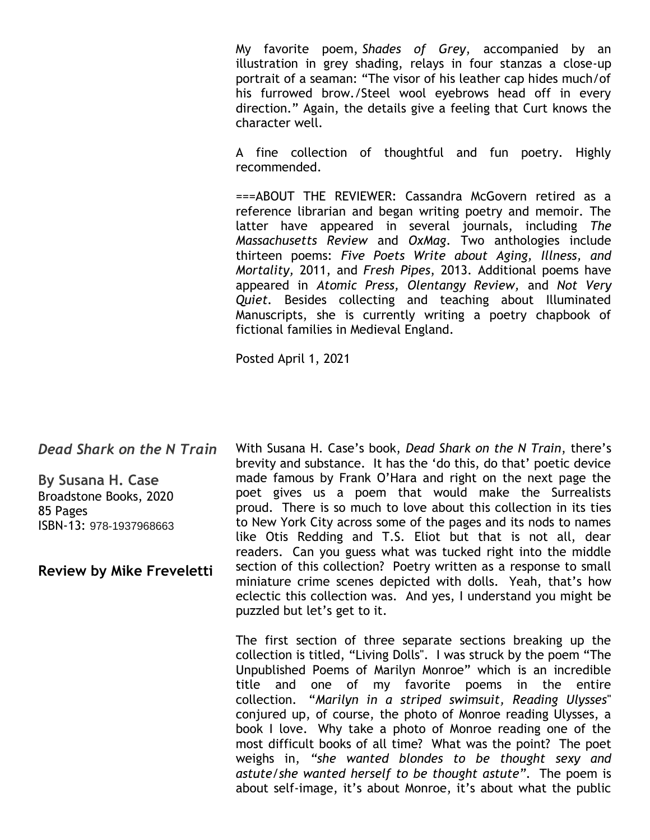My favorite poem, *Shades of Grey*, accompanied by an illustration in grey shading, relays in four stanzas a close-up portrait of a seaman: "The visor of his leather cap hides much/of his furrowed brow./Steel wool eyebrows head off in every direction." Again, the details give a feeling that Curt knows the character well.

A fine collection of thoughtful and fun poetry. Highly recommended.

===ABOUT THE REVIEWER: Cassandra McGovern retired as a reference librarian and began writing poetry and memoir. The latter have appeared in several journals, including *The Massachusetts Review* and *OxMag*. Two anthologies include thirteen poems: *Five Poets Write about Aging, Illness, and Mortality,* 2011, and *Fresh Pipes*, 2013. Additional poems have appeared in *Atomic Press, Olentangy Review,* and *Not Very Quiet.* Besides collecting and teaching about Illuminated Manuscripts, she is currently writing a poetry chapbook of fictional families in Medieval England.

Posted April 1, 2021

*Dead Shark on the N Train*

**By Susana H. Case** Broadstone Books, 2020 85 Pages ISBN-13: 978-1937968663

**Review by Mike Freveletti**

With Susana H. Case's book, *Dead Shark on the N Train*, there's brevity and substance. It has the 'do this, do that' poetic device made famous by Frank O'Hara and right on the next page the poet gives us a poem that would make the Surrealists proud. There is so much to love about this collection in its ties to New York City across some of the pages and its nods to names like Otis Redding and T.S. Eliot but that is not all, dear readers. Can you guess what was tucked right into the middle section of this collection? Poetry written as a response to small miniature crime scenes depicted with dolls. Yeah, that's how eclectic this collection was. And yes, I understand you might be puzzled but let's get to it.

The first section of three separate sections breaking up the collection is titled, "Living Dolls''. I was struck by the poem "The Unpublished Poems of Marilyn Monroe" which is an incredible title and one of my favorite poems in the entire collection. "*Marilyn in a striped swimsuit, Reading Ulysses*'' conjured up, of course, the photo of Monroe reading Ulysses, a book I love. Why take a photo of Monroe reading one of the most difficult books of all time? What was the point? The poet weighs in, *"she wanted blondes to be thought sexy and astute/she wanted herself to be thought astute"*. The poem is about self-image, it's about Monroe, it's about what the public